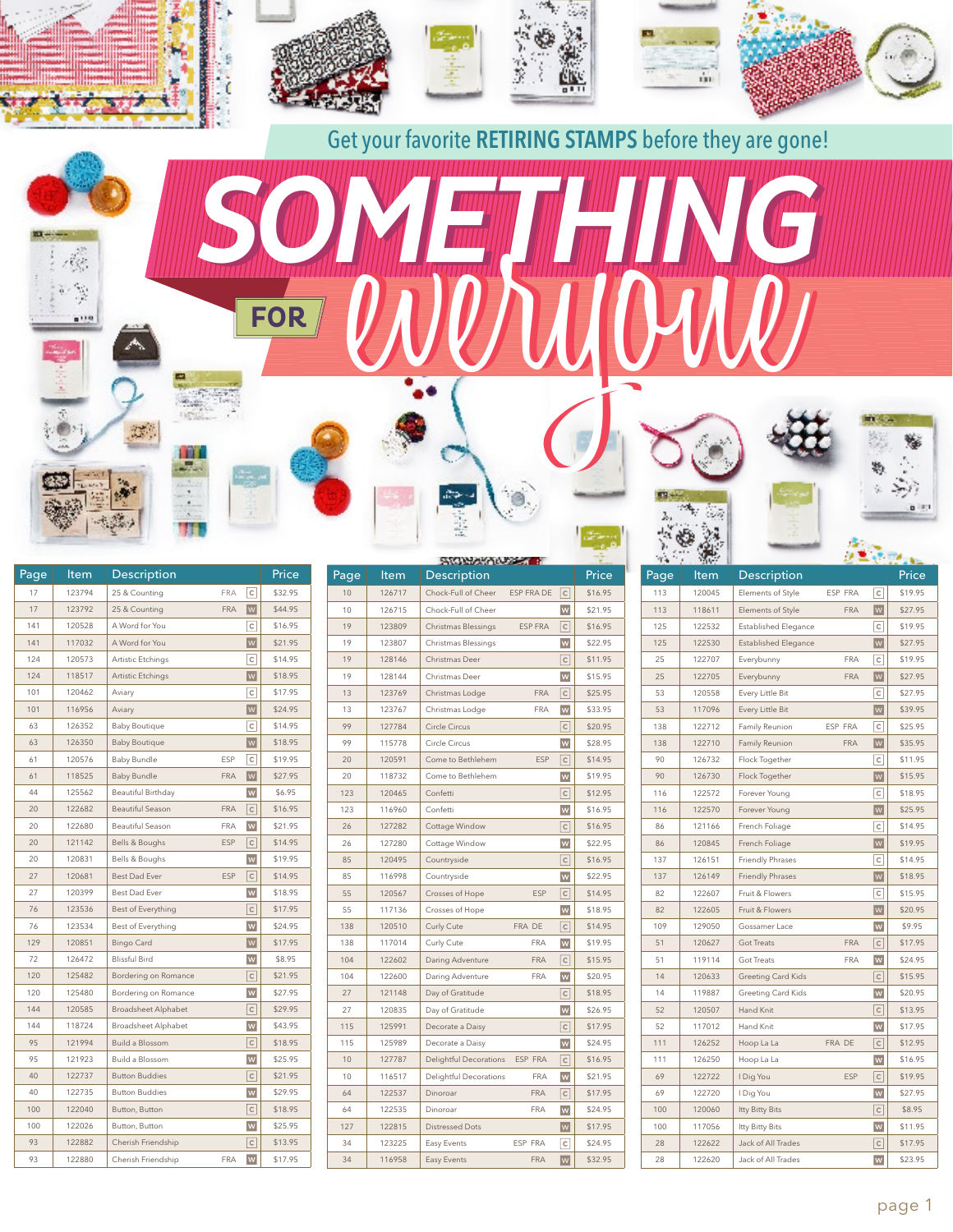

115 125991 Decorate a Daisy **C** \$17.95 115 | 125989 | Decorate a Daisy | W | \$24.95 10 | 127787 | Delightful Decorations ESP FRA  $\boxed{C}$  \$16.95 10 | 116517 | Delightful Decorations FRA W | \$21.95 64 122537 Dinoroar FRA C \$17.95 64 | 122535 | Dinoroar **FRA W** \$24.95 127 | 122815 | Distressed Dots **W** | \$17.95 34 | 123225 | Easy Events ESP FRA | C | \$24.95 34 | 116958 | Easy Events FRA | \$32.95

144 | 118724 | Broadsheet Alphabet | W | \$43.95 95 | 121994 | Build a Blossom | C | \$18.95 95 | 121923 | Build a Blossom **W** | \$25.95 40 | 122737 | Button Buddies | C | \$21.95 40 | 122735 | Button Buddies | W | \$29.95 100 | 122040 | Button, Button  $\boxed{C}$  \$18.95 100 122026 Button, Button **W** \$25.95 93 122882 Cherish Friendship **C** \$13.95 93 | 122880 | Cherish Friendship FRA M | \$17.95

52 | 117012 | Hand Knit **WINNEY 12008** | \$17.95 111 | 126252 | Hoop La La FRA DE C | \$12.95 111 | 126250 | Hoop La La **W** | \$16.95 69 122722 **I** Dig You **ESP C** \$19.95 69 122720 | I Dig You **W** \$27.95 100 120060 | Itty Bitty Bits **C** \$8.95 100 117056 Itty Bitty Bits **WI** \$11.95 28 122622 Jack of All Trades **C** \$17.95 28 122620 Jack of All Trades W 1 \$23.95